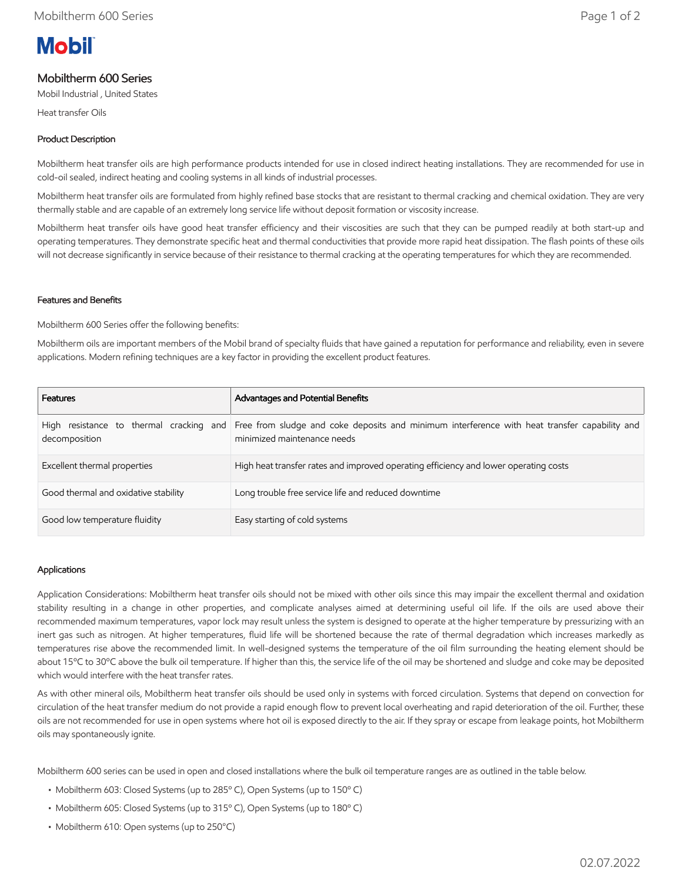# **Mobil**

# Mobiltherm 600 Series

Mobil Industrial , United States

Heat transfer Oils

## Product Description

Mobiltherm heat transfer oils are high performance products intended for use in closed indirect heating installations. They are recommended for use in cold-oil sealed, indirect heating and cooling systems in all kinds of industrial processes.

Mobiltherm heat transfer oils are formulated from highly refined base stocks that are resistant to thermal cracking and chemical oxidation. They are very thermally stable and are capable of an extremely long service life without deposit formation or viscosity increase.

Mobiltherm heat transfer oils have good heat transfer efficiency and their viscosities are such that they can be pumped readily at both start-up and operating temperatures. They demonstrate specific heat and thermal conductivities that provide more rapid heat dissipation. The flash points of these oils will not decrease significantly in service because of their resistance to thermal cracking at the operating temperatures for which they are recommended.

#### Features and Benefits

Mobiltherm 600 Series offer the following benefits:

Mobiltherm oils are important members of the Mobil brand of specialty fluids that have gained a reputation for performance and reliability, even in severe applications. Modern refining techniques are a key factor in providing the excellent product features.

| <b>Features</b>                      | Advantages and Potential Benefits                                                                                                                                    |
|--------------------------------------|----------------------------------------------------------------------------------------------------------------------------------------------------------------------|
| decomposition                        | High resistance to thermal cracking and Free from sludge and coke deposits and minimum interference with heat transfer capability and<br>minimized maintenance needs |
| Excellent thermal properties         | High heat transfer rates and improved operating efficiency and lower operating costs                                                                                 |
| Good thermal and oxidative stability | Long trouble free service life and reduced downtime                                                                                                                  |
| Good low temperature fluidity        | Easy starting of cold systems                                                                                                                                        |

#### Applications

Application Considerations: Mobiltherm heat transfer oils should not be mixed with other oils since this may impair the excellent thermal and oxidation stability resulting in a change in other properties, and complicate analyses aimed at determining useful oil life. If the oils are used above their recommended maximum temperatures, vapor lock may result unless the system is designed to operate at the higher temperature by pressurizing with an inert gas such as nitrogen. At higher temperatures, fluid life will be shortened because the rate of thermal degradation which increases markedly as temperatures rise above the recommended limit. In well-designed systems the temperature of the oil film surrounding the heating element should be about 15ºC to 30ºC above the bulk oil temperature. If higher than this, the service life of the oil may be shortened and sludge and coke may be deposited which would interfere with the heat transfer rates.

As with other mineral oils, Mobiltherm heat transfer oils should be used only in systems with forced circulation. Systems that depend on convection for circulation of the heat transfer medium do not provide a rapid enough flow to prevent local overheating and rapid deterioration of the oil. Further, these oils are not recommended for use in open systems where hot oil is exposed directly to the air. If they spray or escape from leakage points, hot Mobiltherm oils may spontaneously ignite.

Mobiltherm 600 series can be used in open and closed installations where the bulk oil temperature ranges are as outlined in the table below.

- Mobiltherm 603: Closed Systems (up to 285º C), Open Systems (up to 150º C)
- Mobiltherm 605: Closed Systems (up to 315º C), Open Systems (up to 180º C)
- Mobiltherm 610: Open systems (up to 250°C)